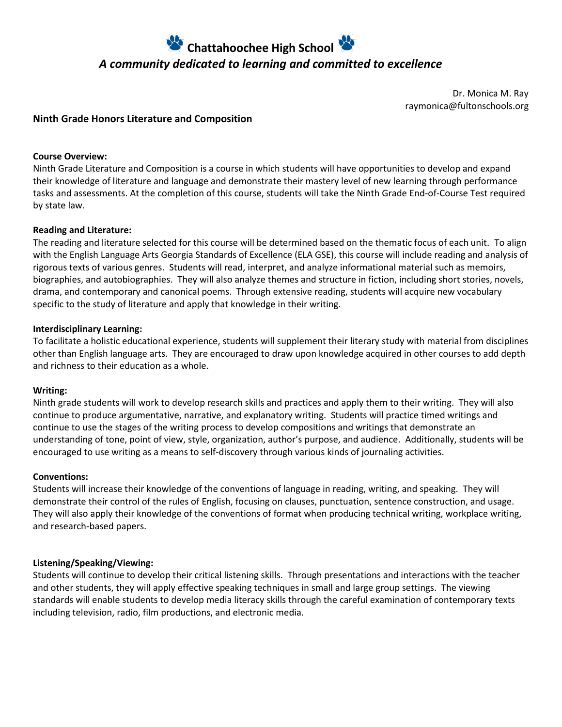# **Chattahoochee High School**  *A community dedicated to learning and committed to excellence*

Dr. Monica M. Ray raymonica@fultonschools.org

# **Ninth Grade Honors Literature and Composition**

#### **Course Overview:**

Ninth Grade Literature and Composition is a course in which students will have opportunities to develop and expand their knowledge of literature and language and demonstrate their mastery level of new learning through performance tasks and assessments. At the completion of this course, students will take the Ninth Grade End-of-Course Test required by state law.

#### **Reading and Literature:**

The reading and literature selected for this course will be determined based on the thematic focus of each unit. To align with the English Language Arts Georgia Standards of Excellence (ELA GSE), this course will include reading and analysis of rigorous texts of various genres. Students will read, interpret, and analyze informational material such as memoirs, biographies, and autobiographies. They will also analyze themes and structure in fiction, including short stories, novels, drama, and contemporary and canonical poems. Through extensive reading, students will acquire new vocabulary specific to the study of literature and apply that knowledge in their writing.

#### **Interdisciplinary Learning:**

To facilitate a holistic educational experience, students will supplement their literary study with material from disciplines other than English language arts. They are encouraged to draw upon knowledge acquired in other courses to add depth and richness to their education as a whole.

#### **Writing:**

Ninth grade students will work to develop research skills and practices and apply them to their writing. They will also continue to produce argumentative, narrative, and explanatory writing. Students will practice timed writings and continue to use the stages of the writing process to develop compositions and writings that demonstrate an understanding of tone, point of view, style, organization, author's purpose, and audience. Additionally, students will be encouraged to use writing as a means to self-discovery through various kinds of journaling activities.

#### **Conventions:**

Students will increase their knowledge of the conventions of language in reading, writing, and speaking. They will demonstrate their control of the rules of English, focusing on clauses, punctuation, sentence construction, and usage. They will also apply their knowledge of the conventions of format when producing technical writing, workplace writing, and research-based papers.

## **Listening/Speaking/Viewing:**

Students will continue to develop their critical listening skills. Through presentations and interactions with the teacher and other students, they will apply effective speaking techniques in small and large group settings. The viewing standards will enable students to develop media literacy skills through the careful examination of contemporary texts including television, radio, film productions, and electronic media.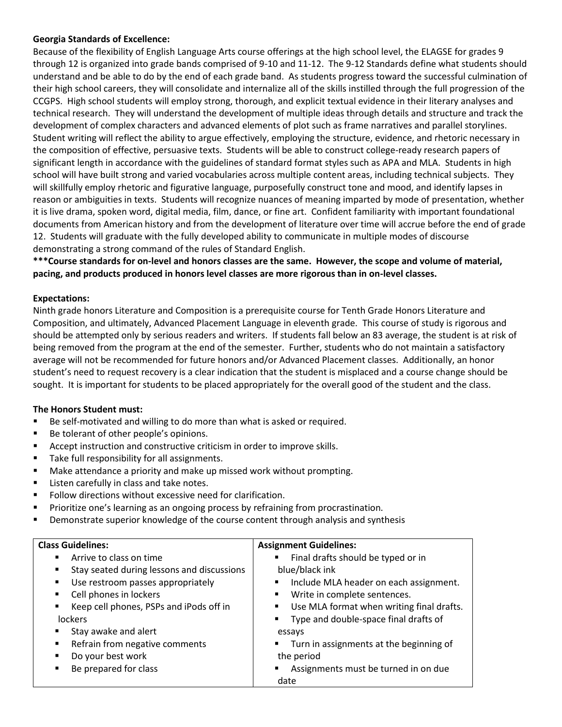## **Georgia Standards of Excellence:**

Because of the flexibility of English Language Arts course offerings at the high school level, the ELAGSE for grades 9 through 12 is organized into grade bands comprised of 9-10 and 11-12. The 9-12 Standards define what students should understand and be able to do by the end of each grade band. As students progress toward the successful culmination of their high school careers, they will consolidate and internalize all of the skills instilled through the full progression of the CCGPS. High school students will employ strong, thorough, and explicit textual evidence in their literary analyses and technical research. They will understand the development of multiple ideas through details and structure and track the development of complex characters and advanced elements of plot such as frame narratives and parallel storylines. Student writing will reflect the ability to argue effectively, employing the structure, evidence, and rhetoric necessary in the composition of effective, persuasive texts. Students will be able to construct college-ready research papers of significant length in accordance with the guidelines of standard format styles such as APA and MLA. Students in high school will have built strong and varied vocabularies across multiple content areas, including technical subjects. They will skillfully employ rhetoric and figurative language, purposefully construct tone and mood, and identify lapses in reason or ambiguities in texts. Students will recognize nuances of meaning imparted by mode of presentation, whether it is live drama, spoken word, digital media, film, dance, or fine art. Confident familiarity with important foundational documents from American history and from the development of literature over time will accrue before the end of grade 12. Students will graduate with the fully developed ability to communicate in multiple modes of discourse demonstrating a strong command of the rules of Standard English.

**\*\*\*Course standards for on-level and honors classes are the same. However, the scope and volume of material, pacing, and products produced in honors level classes are more rigorous than in on-level classes.**

## **Expectations:**

Ninth grade honors Literature and Composition is a prerequisite course for Tenth Grade Honors Literature and Composition, and ultimately, Advanced Placement Language in eleventh grade. This course of study is rigorous and should be attempted only by serious readers and writers. If students fall below an 83 average, the student is at risk of being removed from the program at the end of the semester. Further, students who do not maintain a satisfactory average will not be recommended for future honors and/or Advanced Placement classes. Additionally, an honor student's need to request recovery is a clear indication that the student is misplaced and a course change should be sought. It is important for students to be placed appropriately for the overall good of the student and the class.

# **The Honors Student must:**

- Be self-motivated and willing to do more than what is asked or required.
- Be tolerant of other people's opinions.
- Accept instruction and constructive criticism in order to improve skills.
- Take full responsibility for all assignments.
- Make attendance a priority and make up missed work without prompting.
- Listen carefully in class and take notes.
- Follow directions without excessive need for clarification.
- **•** Prioritize one's learning as an ongoing process by refraining from procrastination.
- **•** Demonstrate superior knowledge of the course content through analysis and synthesis

| <b>Class Guidelines:</b>                        | <b>Assignment Guidelines:</b>                           |  |  |  |
|-------------------------------------------------|---------------------------------------------------------|--|--|--|
| Arrive to class on time<br>$\blacksquare$       | Final drafts should be typed or in<br>$\mathbf{m}$      |  |  |  |
| Stay seated during lessons and discussions<br>٠ | blue/black ink                                          |  |  |  |
| Use restroom passes appropriately<br>٠          | Include MLA header on each assignment.                  |  |  |  |
| Cell phones in lockers<br>٠                     | Write in complete sentences.<br>٠                       |  |  |  |
| Keep cell phones, PSPs and iPods off in<br>٠    | Use MLA format when writing final drafts.<br>٠          |  |  |  |
| <b>lockers</b>                                  | Type and double-space final drafts of<br>$\blacksquare$ |  |  |  |
| Stay awake and alert<br>٠                       | essays                                                  |  |  |  |
| Refrain from negative comments<br>٠             | ■ Turn in assignments at the beginning of               |  |  |  |
| Do your best work<br>٠                          | the period                                              |  |  |  |
| Be prepared for class<br>٠                      | Assignments must be turned in on due                    |  |  |  |
|                                                 | date                                                    |  |  |  |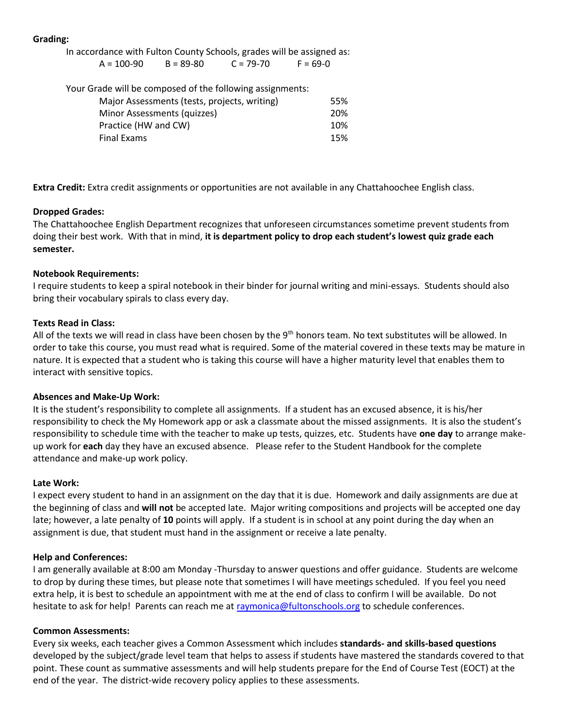## **Grading:**

In accordance with Fulton County Schools, grades will be assigned as:

| $A = 100-90$                                              | $B = 89 - 80$ | $C = 79 - 70$ | $F = 69-0$ |  |  |  |
|-----------------------------------------------------------|---------------|---------------|------------|--|--|--|
| Your Grade will be composed of the following assignments: |               |               |            |  |  |  |
| Major Assessments (tests, projects, writing)              |               |               |            |  |  |  |

| Minor Assessments (quizzes) |  |  | 20% |
|-----------------------------|--|--|-----|
| Practice (HW and CW)        |  |  | 10% |
| Final Exams                 |  |  | 15% |
|                             |  |  |     |

**Extra Credit:** Extra credit assignments or opportunities are not available in any Chattahoochee English class.

# **Dropped Grades:**

The Chattahoochee English Department recognizes that unforeseen circumstances sometime prevent students from doing their best work. With that in mind, **it is department policy to drop each student's lowest quiz grade each semester.**

## **Notebook Requirements:**

I require students to keep a spiral notebook in their binder for journal writing and mini-essays. Students should also bring their vocabulary spirals to class every day.

# **Texts Read in Class:**

All of the texts we will read in class have been chosen by the  $9<sup>th</sup>$  honors team. No text substitutes will be allowed. In order to take this course, you must read what is required. Some of the material covered in these texts may be mature in nature. It is expected that a student who is taking this course will have a higher maturity level that enables them to interact with sensitive topics.

## **Absences and Make-Up Work:**

It is the student's responsibility to complete all assignments. If a student has an excused absence, it is his/her responsibility to check the My Homework app or ask a classmate about the missed assignments. It is also the student's responsibility to schedule time with the teacher to make up tests, quizzes, etc. Students have **one day** to arrange makeup work for **each** day they have an excused absence. Please refer to the Student Handbook for the complete attendance and make-up work policy.

## **Late Work:**

I expect every student to hand in an assignment on the day that it is due. Homework and daily assignments are due at the beginning of class and **will not** be accepted late. Major writing compositions and projects will be accepted one day late; however, a late penalty of **10** points will apply. If a student is in school at any point during the day when an assignment is due, that student must hand in the assignment or receive a late penalty.

## **Help and Conferences:**

I am generally available at 8:00 am Monday -Thursday to answer questions and offer guidance. Students are welcome to drop by during these times, but please note that sometimes I will have meetings scheduled. If you feel you need extra help, it is best to schedule an appointment with me at the end of class to confirm I will be available. Do not hesitate to ask for help! Parents can reach me a[t raymonica@fultonschools.org](mailto:raymonica@fultonschools.org) to schedule conferences.

## **Common Assessments:**

Every six weeks, each teacher gives a Common Assessment which includes **standards- and skills-based questions**  developed by the subject/grade level team that helps to assess if students have mastered the standards covered to that point. These count as summative assessments and will help students prepare for the End of Course Test (EOCT) at the end of the year. The district-wide recovery policy applies to these assessments.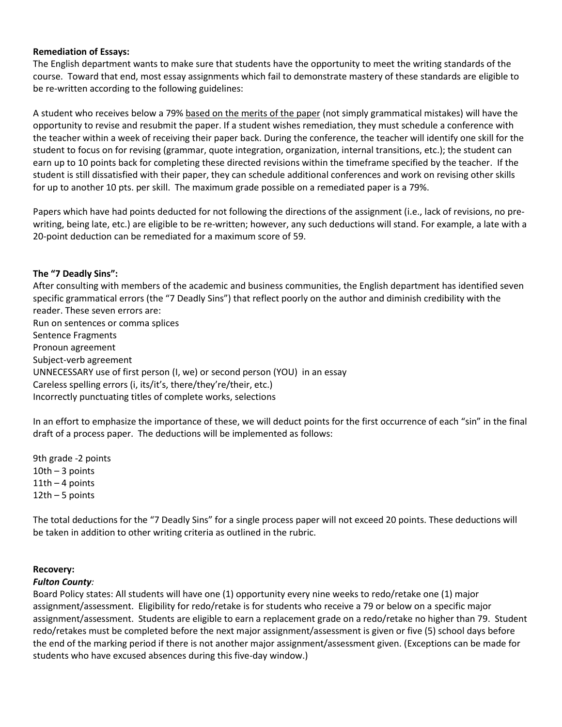#### **Remediation of Essays:**

The English department wants to make sure that students have the opportunity to meet the writing standards of the course. Toward that end, most essay assignments which fail to demonstrate mastery of these standards are eligible to be re-written according to the following guidelines:

A student who receives below a 79% based on the merits of the paper (not simply grammatical mistakes) will have the opportunity to revise and resubmit the paper. If a student wishes remediation, they must schedule a conference with the teacher within a week of receiving their paper back. During the conference, the teacher will identify one skill for the student to focus on for revising (grammar, quote integration, organization, internal transitions, etc.); the student can earn up to 10 points back for completing these directed revisions within the timeframe specified by the teacher. If the student is still dissatisfied with their paper, they can schedule additional conferences and work on revising other skills for up to another 10 pts. per skill. The maximum grade possible on a remediated paper is a 79%.

Papers which have had points deducted for not following the directions of the assignment (i.e., lack of revisions, no prewriting, being late, etc.) are eligible to be re-written; however, any such deductions will stand. For example, a late with a 20-point deduction can be remediated for a maximum score of 59.

#### **The "7 Deadly Sins":**

After consulting with members of the academic and business communities, the English department has identified seven specific grammatical errors (the "7 Deadly Sins") that reflect poorly on the author and diminish credibility with the reader. These seven errors are: Run on sentences or comma splices Sentence Fragments Pronoun agreement

Subject-verb agreement UNNECESSARY use of first person (I, we) or second person (YOU) in an essay Careless spelling errors (i, its/it's, there/they're/their, etc.) Incorrectly punctuating titles of complete works, selections

In an effort to emphasize the importance of these, we will deduct points for the first occurrence of each "sin" in the final draft of a process paper. The deductions will be implemented as follows:

9th grade -2 points  $10th - 3$  points  $11th - 4$  points 12th – 5 points

The total deductions for the "7 Deadly Sins" for a single process paper will not exceed 20 points. These deductions will be taken in addition to other writing criteria as outlined in the rubric.

#### **Recovery:**

#### *Fulton County:*

Board Policy states: All students will have one (1) opportunity every nine weeks to redo/retake one (1) major assignment/assessment. Eligibility for redo/retake is for students who receive a 79 or below on a specific major assignment/assessment. Students are eligible to earn a replacement grade on a redo/retake no higher than 79. Student redo/retakes must be completed before the next major assignment/assessment is given or five (5) school days before the end of the marking period if there is not another major assignment/assessment given. (Exceptions can be made for students who have excused absences during this five-day window.)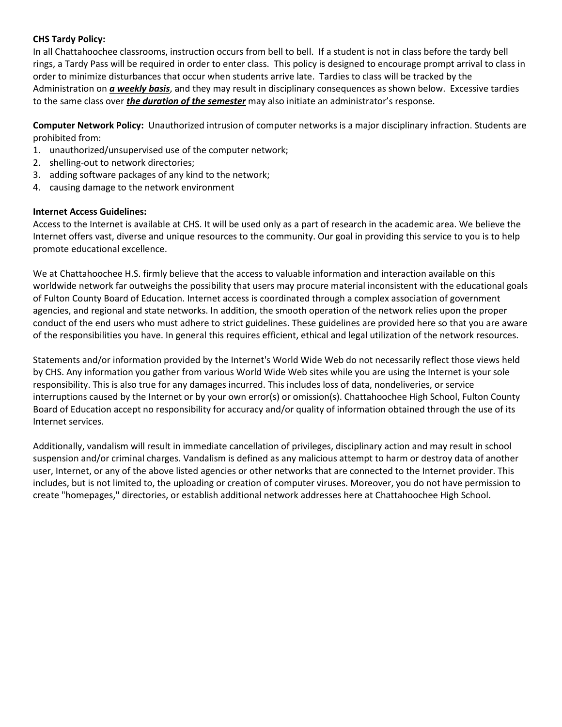# **CHS Tardy Policy:**

In all Chattahoochee classrooms, instruction occurs from bell to bell. If a student is not in class before the tardy bell rings, a Tardy Pass will be required in order to enter class. This policy is designed to encourage prompt arrival to class in order to minimize disturbances that occur when students arrive late. Tardies to class will be tracked by the Administration on *a weekly basis*, and they may result in disciplinary consequences as shown below. Excessive tardies to the same class over *the duration of the semester* may also initiate an administrator's response.

**Computer Network Policy:** Unauthorized intrusion of computer networks is a major disciplinary infraction. Students are prohibited from:

- 1. unauthorized/unsupervised use of the computer network;
- 2. shelling-out to network directories;
- 3. adding software packages of any kind to the network;
- 4. causing damage to the network environment

## **Internet Access Guidelines:**

Access to the Internet is available at CHS. It will be used only as a part of research in the academic area. We believe the Internet offers vast, diverse and unique resources to the community. Our goal in providing this service to you is to help promote educational excellence.

We at Chattahoochee H.S. firmly believe that the access to valuable information and interaction available on this worldwide network far outweighs the possibility that users may procure material inconsistent with the educational goals of Fulton County Board of Education. Internet access is coordinated through a complex association of government agencies, and regional and state networks. In addition, the smooth operation of the network relies upon the proper conduct of the end users who must adhere to strict guidelines. These guidelines are provided here so that you are aware of the responsibilities you have. In general this requires efficient, ethical and legal utilization of the network resources.

Statements and/or information provided by the Internet's World Wide Web do not necessarily reflect those views held by CHS. Any information you gather from various World Wide Web sites while you are using the Internet is your sole responsibility. This is also true for any damages incurred. This includes loss of data, nondeliveries, or service interruptions caused by the Internet or by your own error(s) or omission(s). Chattahoochee High School, Fulton County Board of Education accept no responsibility for accuracy and/or quality of information obtained through the use of its Internet services.

Additionally, vandalism will result in immediate cancellation of privileges, disciplinary action and may result in school suspension and/or criminal charges. Vandalism is defined as any malicious attempt to harm or destroy data of another user, Internet, or any of the above listed agencies or other networks that are connected to the Internet provider. This includes, but is not limited to, the uploading or creation of computer viruses. Moreover, you do not have permission to create "homepages," directories, or establish additional network addresses here at Chattahoochee High School.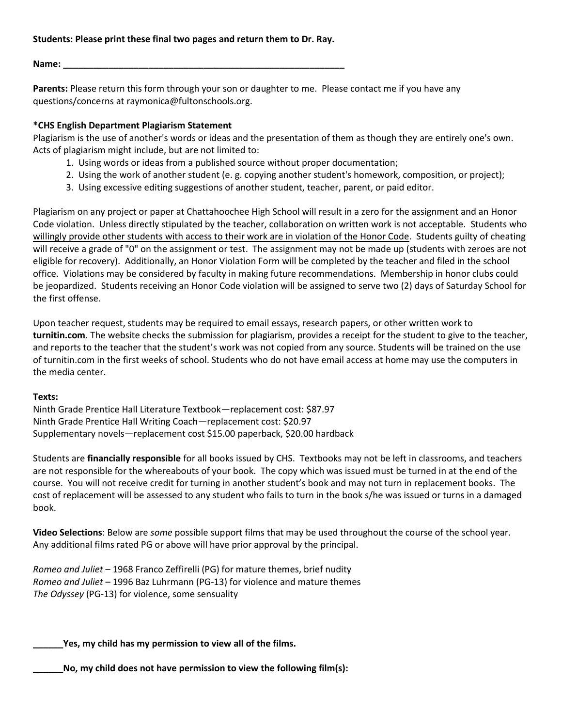## **Students: Please print these final two pages and return them to Dr. Ray.**

**Name: \_\_\_\_\_\_\_\_\_\_\_\_\_\_\_\_\_\_\_\_\_\_\_\_\_\_\_\_\_\_\_\_\_\_\_\_\_\_\_\_\_\_\_\_\_\_\_\_\_\_\_\_\_\_\_\_**

**Parents:** Please return this form through your son or daughter to me. Please contact me if you have any questions/concerns at raymonica@fultonschools.org.

# **\*CHS English Department Plagiarism Statement**

Plagiarism is the use of another's words or ideas and the presentation of them as though they are entirely one's own. Acts of plagiarism might include, but are not limited to:

- 1. Using words or ideas from a published source without proper documentation;
- 2. Using the work of another student (e. g. copying another student's homework, composition, or project);
- 3. Using excessive editing suggestions of another student, teacher, parent, or paid editor.

Plagiarism on any project or paper at Chattahoochee High School will result in a zero for the assignment and an Honor Code violation. Unless directly stipulated by the teacher, collaboration on written work is not acceptable. Students who willingly provide other students with access to their work are in violation of the Honor Code. Students guilty of cheating will receive a grade of "0" on the assignment or test. The assignment may not be made up (students with zeroes are not eligible for recovery). Additionally, an Honor Violation Form will be completed by the teacher and filed in the school office. Violations may be considered by faculty in making future recommendations. Membership in honor clubs could be jeopardized. Students receiving an Honor Code violation will be assigned to serve two (2) days of Saturday School for the first offense.

Upon teacher request, students may be required to email essays, research papers, or other written work to **turnitin.com**. The website checks the submission for plagiarism, provides a receipt for the student to give to the teacher, and reports to the teacher that the student's work was not copied from any source. Students will be trained on the use of turnitin.com in the first weeks of school. Students who do not have email access at home may use the computers in the media center.

## **Texts:**

Ninth Grade Prentice Hall Literature Textbook—replacement cost: \$87.97 Ninth Grade Prentice Hall Writing Coach—replacement cost: \$20.97 Supplementary novels—replacement cost \$15.00 paperback, \$20.00 hardback

Students are **financially responsible** for all books issued by CHS. Textbooks may not be left in classrooms, and teachers are not responsible for the whereabouts of your book. The copy which was issued must be turned in at the end of the course. You will not receive credit for turning in another student's book and may not turn in replacement books. The cost of replacement will be assessed to any student who fails to turn in the book s/he was issued or turns in a damaged book.

**Video Selections**: Below are *some* possible support films that may be used throughout the course of the school year. Any additional films rated PG or above will have prior approval by the principal.

*Romeo and Juliet* – 1968 Franco Zeffirelli (PG) for mature themes, brief nudity *Romeo and Juliet* – 1996 Baz Luhrmann (PG-13) for violence and mature themes *The Odyssey* (PG-13) for violence, some sensuality

**\_\_\_\_\_\_Yes, my child has my permission to view all of the films.**

**\_\_\_\_\_\_No, my child does not have permission to view the following film(s):**